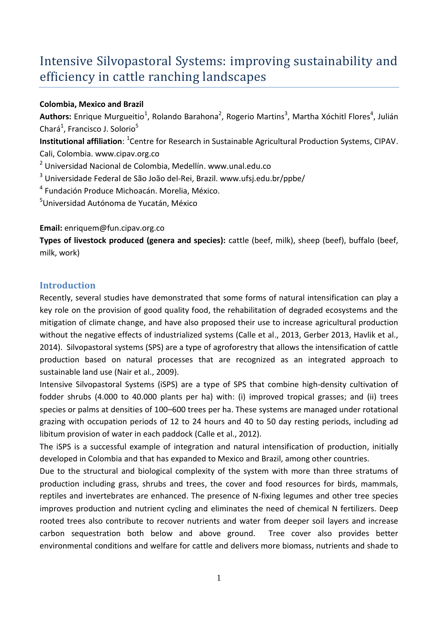# Intensive Silvopastoral Systems: improving sustainability and efficiency in cattle ranching landscapes

### **Colombia, Mexico and Brazil**

Authors: Enrique Murgueitio<sup>1</sup>, Rolando Barahona<sup>2</sup>, Rogerio Martins<sup>3</sup>, Martha Xóchitl Flores<sup>4</sup>, Julián Chará<sup>1</sup>, Francisco J. Solorio<sup>5</sup>

**Institutional affiliation**: <sup>1</sup> Centre for Research in Sustainable Agricultural Production Systems, CIPAV. Cali, Colombia. www.cipav.org.co

<sup>2</sup> Universidad Nacional de Colombia, Medellín. www.unal.edu.co

<sup>3</sup> Universidade Federal de São João del-Rei, Brazil. www.ufsj.edu.br/ppbe/

4 Fundación Produce Michoacán. Morelia, México.

<sup>5</sup>Universidad Autónoma de Yucatán, México

## **Email:** enriquem@fun.cipav.org.co

**Types of livestock produced (genera and species):** cattle (beef, milk), sheep (beef), buffalo (beef, milk, work)

# **Introduction**

Recently, several studies have demonstrated that some forms of natural intensification can play a key role on the provision of good quality food, the rehabilitation of degraded ecosystems and the mitigation of climate change, and have also proposed their use to increase agricultural production without the negative effects of industrialized systems (Calle et al., 2013, Gerber 2013, Havlik et al., 2014). Silvopastoral systems (SPS) are a type of agroforestry that allows the intensification of cattle production based on natural processes that are recognized as an integrated approach to sustainable land use (Nair et al., 2009).

Intensive Silvopastoral Systems (iSPS) are a type of SPS that combine high-density cultivation of fodder shrubs (4.000 to 40.000 plants per ha) with: (i) improved tropical grasses; and (ii) trees species or palms at densities of 100–600 trees per ha. These systems are managed under rotational grazing with occupation periods of 12 to 24 hours and 40 to 50 day resting periods, including ad libitum provision of water in each paddock (Calle et al., 2012).

The iSPS is a successful example of integration and natural intensification of production, initially developed in Colombia and that has expanded to Mexico and Brazil, among other countries.

Due to the structural and biological complexity of the system with more than three stratums of production including grass, shrubs and trees, the cover and food resources for birds, mammals, reptiles and invertebrates are enhanced. The presence of N-fixing legumes and other tree species improves production and nutrient cycling and eliminates the need of chemical N fertilizers. Deep rooted trees also contribute to recover nutrients and water from deeper soil layers and increase carbon sequestration both below and above ground. Tree cover also provides better environmental conditions and welfare for cattle and delivers more biomass, nutrients and shade to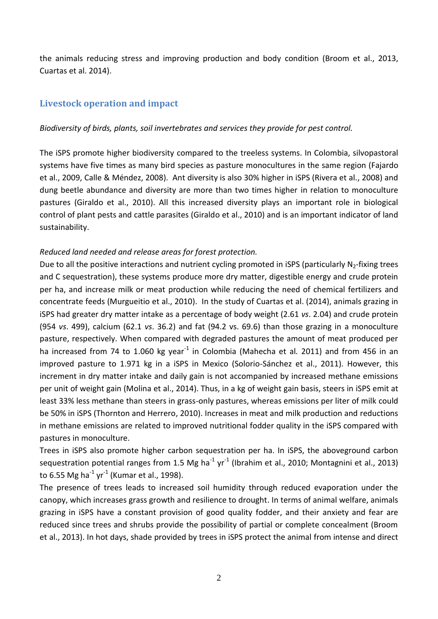the animals reducing stress and improving production and body condition (Broom et al., 2013, Cuartas et al. 2014).

## **Livestock operation and impact**

#### *Biodiversity of birds, plants, soil invertebrates and services they provide for pest control.*

The iSPS promote higher biodiversity compared to the treeless systems. In Colombia, silvopastoral systems have five times as many bird species as pasture monocultures in the same region (Fajardo et al., 2009, Calle & Méndez, 2008). Ant diversity is also 30% higher in iSPS (Rivera et al., 2008) and dung beetle abundance and diversity are more than two times higher in relation to monoculture pastures (Giraldo et al., 2010). All this increased diversity plays an important role in biological control of plant pests and cattle parasites (Giraldo et al., 2010) and is an important indicator of land sustainability.

#### *Reduced land needed and release areas for forest protection.*

Due to all the positive interactions and nutrient cycling promoted in iSPS (particularly  $N_2$ -fixing trees and C sequestration), these systems produce more dry matter, digestible energy and crude protein per ha, and increase milk or meat production while reducing the need of chemical fertilizers and concentrate feeds (Murgueitio et al., 2010). In the study of Cuartas et al. (2014), animals grazing in iSPS had greater dry matter intake as a percentage of body weight (2.61 *vs*. 2.04) and crude protein (954 *vs*. 499), calcium (62.1 *vs*. 36.2) and fat (94.2 vs. 69.6) than those grazing in a monoculture pasture, respectively. When compared with degraded pastures the amount of meat produced per ha increased from 74 to 1.060 kg year<sup>-1</sup> in Colombia (Mahecha et al. 2011) and from 456 in an improved pasture to 1.971 kg in a iSPS in Mexico (Solorio-Sánchez et al., 2011). However, this increment in dry matter intake and daily gain is not accompanied by increased methane emissions per unit of weight gain (Molina et al., 2014). Thus, in a kg of weight gain basis, steers in iSPS emit at least 33% less methane than steers in grass-only pastures, whereas emissions per liter of milk could be 50% in iSPS (Thornton and Herrero, 2010). Increases in meat and milk production and reductions in methane emissions are related to improved nutritional fodder quality in the iSPS compared with pastures in monoculture.

Trees in iSPS also promote higher carbon sequestration per ha. In iSPS, the aboveground carbon sequestration potential ranges from 1.5 Mg ha<sup>-1</sup> yr<sup>-1</sup> (Ibrahim et al., 2010; Montagnini et al., 2013) to 6.55 Mg ha<sup>-1</sup> yr<sup>-1</sup> (Kumar et al., 1998).

The presence of trees leads to increased soil humidity through reduced evaporation under the canopy, which increases grass growth and resilience to drought. In terms of animal welfare, animals grazing in iSPS have a constant provision of good quality fodder, and their anxiety and fear are reduced since trees and shrubs provide the possibility of partial or complete concealment (Broom et al., 2013). In hot days, shade provided by trees in iSPS protect the animal from intense and direct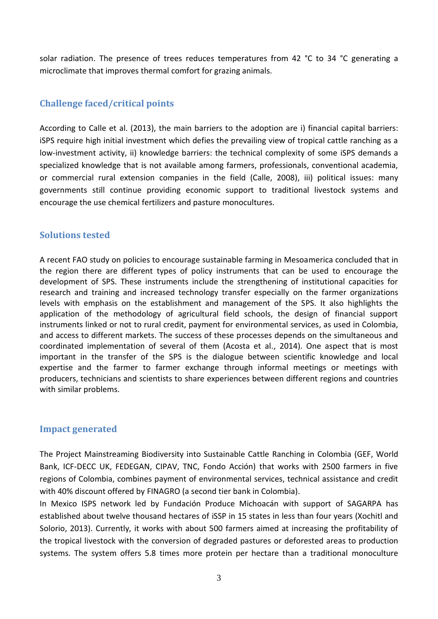solar radiation. The presence of trees reduces temperatures from 42 °C to 34 °C generating a microclimate that improves thermal comfort for grazing animals.

# **Challenge faced/critical points**

According to Calle et al. (2013), the main barriers to the adoption are i) financial capital barriers: iSPS require high initial investment which defies the prevailing view of tropical cattle ranching as a low-investment activity, ii) knowledge barriers: the technical complexity of some iSPS demands a specialized knowledge that is not available among farmers, professionals, conventional academia, or commercial rural extension companies in the field (Calle, 2008), iii) political issues: many governments still continue providing economic support to traditional livestock systems and encourage the use chemical fertilizers and pasture monocultures.

## **Solutions tested**

A recent FAO study on policies to encourage sustainable farming in Mesoamerica concluded that in the region there are different types of policy instruments that can be used to encourage the development of SPS. These instruments include the strengthening of institutional capacities for research and training and increased technology transfer especially on the farmer organizations levels with emphasis on the establishment and management of the SPS. It also highlights the application of the methodology of agricultural field schools, the design of financial support instruments linked or not to rural credit, payment for environmental services, as used in Colombia, and access to different markets. The success of these processes depends on the simultaneous and coordinated implementation of several of them (Acosta et al., 2014). One aspect that is most important in the transfer of the SPS is the dialogue between scientific knowledge and local expertise and the farmer to farmer exchange through informal meetings or meetings with producers, technicians and scientists to share experiences between different regions and countries with similar problems.

### **Impact generated**

The Project Mainstreaming Biodiversity into Sustainable Cattle Ranching in Colombia (GEF, World Bank, ICF-DECC UK, FEDEGAN, CIPAV, TNC, Fondo Acción) that works with 2500 farmers in five regions of Colombia, combines payment of environmental services, technical assistance and credit with 40% discount offered by FINAGRO (a second tier bank in Colombia).

In Mexico ISPS network led by Fundación Produce Michoacán with support of SAGARPA has established about twelve thousand hectares of iSSP in 15 states in less than four years (Xochitl and Solorio, 2013). Currently, it works with about 500 farmers aimed at increasing the profitability of the tropical livestock with the conversion of degraded pastures or deforested areas to production systems. The system offers 5.8 times more protein per hectare than a traditional monoculture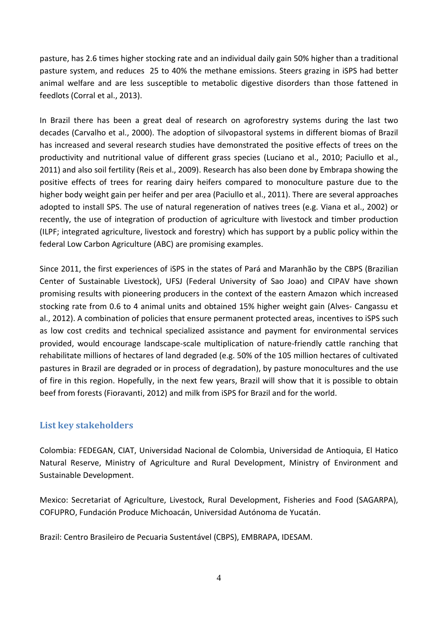pasture, has 2.6 times higher stocking rate and an individual daily gain 50% higher than a traditional pasture system, and reduces 25 to 40% the methane emissions. Steers grazing in iSPS had better animal welfare and are less susceptible to metabolic digestive disorders than those fattened in feedlots (Corral et al., 2013).

In Brazil there has been a great deal of research on agroforestry systems during the last two decades (Carvalho et al., 2000). The adoption of silvopastoral systems in different biomas of Brazil has increased and several research studies have demonstrated the positive effects of trees on the productivity and nutritional value of different grass species (Luciano et al., 2010; Paciullo et al., 2011) and also soil fertility (Reis et al., 2009). Research has also been done by Embrapa showing the positive effects of trees for rearing dairy heifers compared to monoculture pasture due to the higher body weight gain per heifer and per area (Paciullo et al., 2011). There are several approaches adopted to install SPS. The use of natural regeneration of natives trees (e.g. Viana et al., 2002) or recently, the use of integration of production of agriculture with livestock and timber production (ILPF; integrated agriculture, livestock and forestry) which has support by a public policy within the federal Low Carbon Agriculture (ABC) are promising examples.

Since 2011, the first experiences of iSPS in the states of Pará and Maranhão by the CBPS (Brazilian Center of Sustainable Livestock), UFSJ (Federal University of Sao Joao) and CIPAV have shown promising results with pioneering producers in the context of the eastern Amazon which increased stocking rate from 0.6 to 4 animal units and obtained 15% higher weight gain (Alves- Cangassu et al., 2012). A combination of policies that ensure permanent protected areas, incentives to iSPS such as low cost credits and technical specialized assistance and payment for environmental services provided, would encourage landscape-scale multiplication of nature-friendly cattle ranching that rehabilitate millions of hectares of land degraded (e.g. 50% of the 105 million hectares of cultivated pastures in Brazil are degraded or in process of degradation), by pasture monocultures and the use of fire in this region. Hopefully, in the next few years, Brazil will show that it is possible to obtain beef from forests (Fioravanti, 2012) and milk from iSPS for Brazil and for the world.

# **List key stakeholders**

Colombia: FEDEGAN, CIAT, Universidad Nacional de Colombia, Universidad de Antioquia, El Hatico Natural Reserve, Ministry of Agriculture and Rural Development, Ministry of Environment and Sustainable Development.

Mexico: Secretariat of Agriculture, Livestock, Rural Development, Fisheries and Food (SAGARPA), COFUPRO, Fundación Produce Michoacán, Universidad Autónoma de Yucatán.

Brazil: Centro Brasileiro de Pecuaria Sustentável (CBPS), EMBRAPA, IDESAM.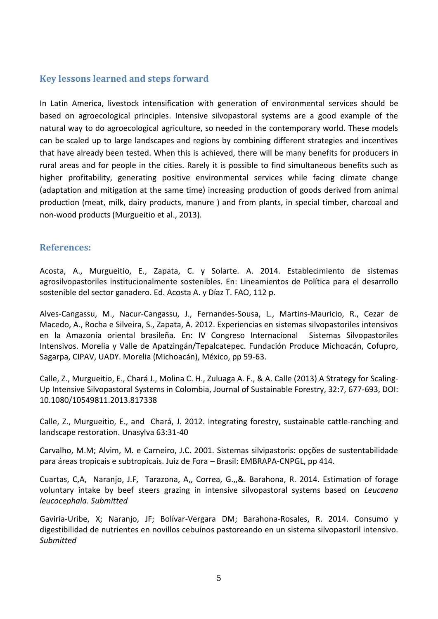# **Key lessons learned and steps forward**

In Latin America, livestock intensification with generation of environmental services should be based on agroecological principles. Intensive silvopastoral systems are a good example of the natural way to do agroecological agriculture, so needed in the contemporary world. These models can be scaled up to large landscapes and regions by combining different strategies and incentives that have already been tested. When this is achieved, there will be many benefits for producers in rural areas and for people in the cities. Rarely it is possible to find simultaneous benefits such as higher profitability, generating positive environmental services while facing climate change (adaptation and mitigation at the same time) increasing production of goods derived from animal production (meat, milk, dairy products, manure ) and from plants, in special timber, charcoal and non-wood products (Murgueitio et al., 2013).

### **References:**

Acosta, A., Murgueitio, E., Zapata, C. y Solarte. A. 2014. Establecimiento de sistemas agrosilvopastoriles institucionalmente sostenibles. En: Lineamientos de Política para el desarrollo sostenible del sector ganadero. Ed. Acosta A. y Díaz T. FAO, 112 p.

Alves-Cangassu, M., Nacur-Cangassu, J., Fernandes-Sousa, L., Martins-Mauricio, R., Cezar de Macedo, A., Rocha e Silveira, S., Zapata, A. 2012. Experiencias en sistemas silvopastoriles intensivos en la Amazonia oriental brasileña. En: IV Congreso Internacional Sistemas Silvopastoriles Intensivos. Morelia y Valle de Apatzingán/Tepalcatepec. Fundación Produce Michoacán, Cofupro, Sagarpa, CIPAV, UADY. Morelia (Michoacán), México, pp 59-63.

Calle, Z., Murgueitio, E., Chará J., Molina C. H., Zuluaga A. F., & A. Calle (2013) A Strategy for Scaling-Up Intensive Silvopastoral Systems in Colombia, Journal of Sustainable Forestry, 32:7, 677-693, DOI: 10.1080/10549811.2013.817338

Calle, Z., Murgueitio, E., and Chará, J. 2012. Integrating forestry, sustainable cattle-ranching and landscape restoration. Unasylva 63:31-40

Carvalho, M.M; Alvim, M. e Carneiro, J.C. 2001. Sistemas silvipastoris: opções de sustentabilidade para áreas tropicais e subtropicais. Juiz de Fora – Brasil: EMBRAPA-CNPGL, pp 414.

Cuartas, C,A, Naranjo, J.F, Tarazona, A,, Correa, G.,,&. Barahona, R. 2014. Estimation of forage voluntary intake by beef steers grazing in intensive silvopastoral systems based on *Leucaena leucocephala*. *Submitted*

Gaviria-Uribe, X; Naranjo, JF; Bolívar-Vergara DM; Barahona-Rosales, R. 2014. Consumo y digestibilidad de nutrientes en novillos cebuínos pastoreando en un sistema silvopastoril intensivo. *Submitted*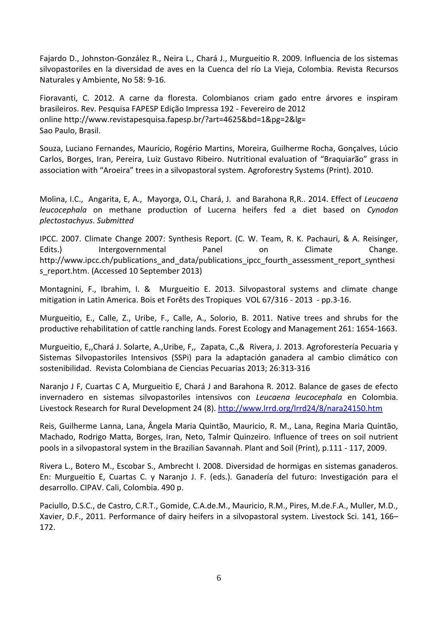Fajardo D., Johnston-González R., Neira L., Chará J., Murgueitio R. 2009. Influencia de los sistemas silvopastoriles en la diversidad de aves en la Cuenca del río La Vieja, Colombia. Revista Recursos Naturales y Ambiente, No 58: 9-16.

Fioravanti, C. 2012. A carne da floresta. Colombianos criam gado entre árvores e inspiram brasileiros. Rev. Pesquisa FAPESP Edição Impressa 192 - Fevereiro de 2012 online http://www.revistapesquisa.fapesp.br/?art=4625&bd=1&pg=2&lg= Sao Paulo, Brasil.

Souza, Luciano Fernandes, Maurício, Rogério Martins, Moreira, Guilherme Rocha, Gonçalves, Lúcio Carlos, Borges, Iran, Pereira, Luiz Gustavo Ribeiro. Nutritional evaluation of "Braquiarão" grass in association with "Aroeira" trees in a silvopastoral system. Agroforestry Systems (Print). 2010.

Molina, I.C., Angarita, E, A., Mayorga, O.L, Chará, J. and Barahona R,R.. 2014. Effect of *Leucaena leucocephala* on methane production of Lucerna heifers fed a diet based on *Cynodon plectostachyus*. *Submitted*

IPCC. 2007. Climate Change 2007: Synthesis Report. (C. W. Team, R. K. Pachauri, & A. Reisinger, Edits.) Intergovernmental Panel on Climate Change. http://www.ipcc.ch/publications\_and\_data/publications\_ipcc\_fourth\_assessment\_report\_synthesi s\_report.htm. (Accessed 10 September 2013)

Montagnini, F., Ibrahim, I. & Murgueitio E. 2013. Silvopastoral systems and climate change mitigation in Latin America. Bois et Forêts des Tropiques VOL 67/316 - 2013 - pp.3-16.

Murgueitio, E., Calle, Z., Uribe, F., Calle, A., Solorio, B. 2011. Native trees and shrubs for the productive rehabilitation of cattle ranching lands. Forest Ecology and Management 261: 1654-1663.

Murgueitio, E,,Chará J. Solarte, A.,Uribe, F,, Zapata, C.,& Rivera, J. 2013. Agroforestería Pecuaria y Sistemas Silvopastoriles Intensivos (SSPi) para la adaptación ganadera al cambio climático con sostenibilidad. Revista Colombiana de Ciencias Pecuarias 2013; 26:313-316

Naranjo J F, Cuartas C A, Murgueitio E, Chará J and Barahona R. 2012. Balance de gases de efecto invernadero en sistemas silvopastoriles intensivos con *Leucaena leucocephala* en Colombia. Livestock Research for Rural Development 24 (8).<http://www.lrrd.org/lrrd24/8/nara24150.htm>

Reis, Guilherme Lanna, Lana, Ângela Maria Quintão, Mauricio, R. M., Lana, Regina Maria Quintão, Machado, Rodrigo Matta, Borges, Iran, Neto, Talmir Quinzeiro. Influence of trees on soil nutrient pools in a silvopastoral system in the Brazilian Savannah. Plant and Soil (Print), p.111 - 117, 2009.

Rivera L., Botero M., Escobar S., Ambrecht I. 2008. Diversidad de hormigas en sistemas ganaderos. En: Murgueitio E, Cuartas C. y Naranjo J. F. (eds.). Ganadería del futuro: Investigación para el desarrollo. CIPAV. Cali, Colombia. 490 p.

Paciullo, D.S.C., de Castro, C.R.T., Gomide, C.A.de.M., Mauricio, R.M., Pires, M.de.F.A., Muller, M.D., Xavier, D.F., 2011. Performance of dairy heifers in a silvopastoral system. Livestock Sci. 141, 166– 172.